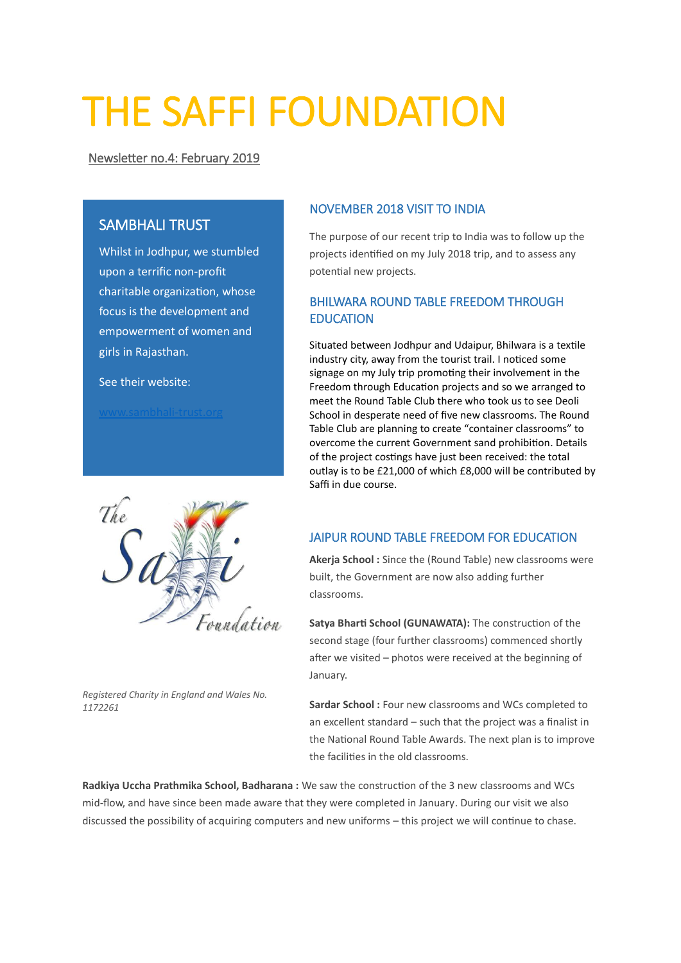# THE SAFFI FOUNDATION

Newsletter no.4: February 2019

## SAMBHALI TRUST

Whilst in Jodhpur, we stumbled upon a terrific non-profit charitable organization, whose focus is the development and empowerment of women and girls in Rajasthan.

See their website:



*Registered Charity in England and Wales No. 1172261*

### NOVEMBER 2018 VISIT TO INDIA

The purpose of our recent trip to India was to follow up the projects identified on my July 2018 trip, and to assess any potential new projects.

## BHILWARA ROUND TABLE FREEDOM THROUGH **EDUCATION**

Situated between Jodhpur and Udaipur, Bhilwara is a textile industry city, away from the tourist trail. I noticed some signage on my July trip promoting their involvement in the Freedom through Education projects and so we arranged to meet the Round Table Club there who took us to see Deoli School in desperate need of five new classrooms. The Round Table Club are planning to create "container classrooms" to overcome the current Government sand prohibition. Details of the project costings have just been received: the total outlay is to be £21,000 of which £8,000 will be contributed by Saffi in due course.

## JAIPUR ROUND TABLE FREEDOM FOR EDUCATION

**Akerja School :** Since the (Round Table) new classrooms were built, the Government are now also adding further classrooms.

**Satya Bharti School (GUNAWATA):** The construction of the second stage (four further classrooms) commenced shortly after we visited – photos were received at the beginning of January.

Sardar School : Four new classrooms and WCs completed to an excellent standard – such that the project was a finalist in the National Round Table Awards. The next plan is to improve the facilities in the old classrooms.

**Radkiya Uccha Prathmika School, Badharana :** We saw the construction of the 3 new classrooms and WCs mid-flow, and have since been made aware that they were completed in January. During our visit we also discussed the possibility of acquiring computers and new uniforms – this project we will continue to chase.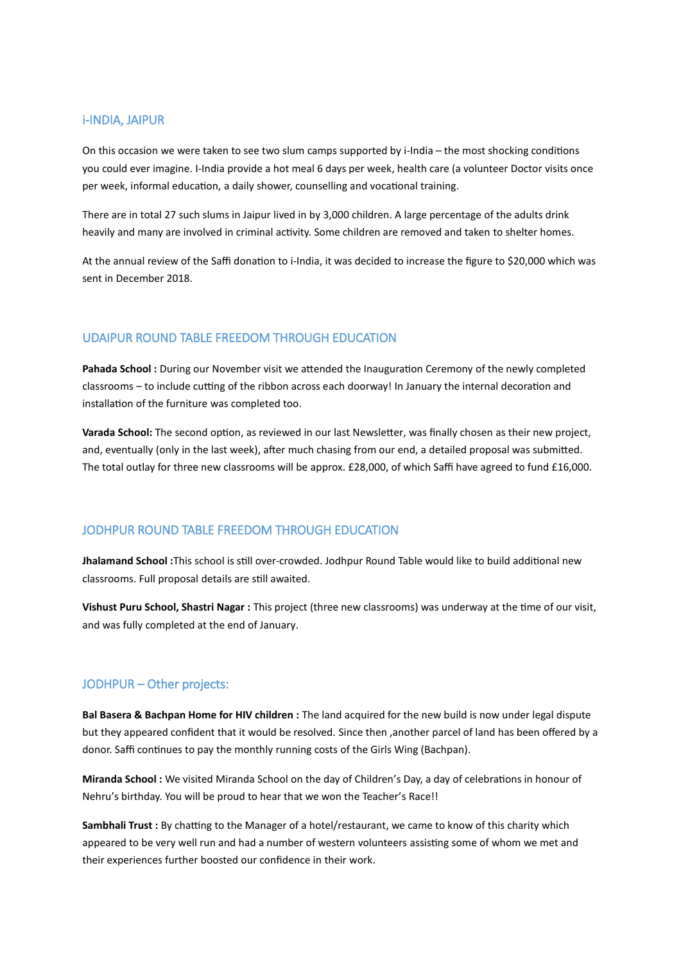#### i-INDIA, JAIPUR

On this occasion we were taken to see two slum camps supported by i-India – the most shocking conditions you could ever imagine. I-India provide a hot meal 6 days per week, health care (a volunteer Doctor visits once per week, informal education, a daily shower, counselling and vocational training.

There are in total 27 such slums in Jaipur lived in by 3,000 children. A large percentage of the adults drink heavily and many are involved in criminal activity. Some children are removed and taken to shelter homes.

At the annual review of the Saffi donation to i-India, it was decided to increase the figure to \$20,000 which was sent in December 2018.

#### UDAIPUR ROUND TABLE FREEDOM THROUGH EDUCATION

Pahada School : During our November visit we attended the Inauguration Ceremony of the newly completed classrooms – to include cutting of the ribbon across each doorway! In January the internal decoration and installation of the furniture was completed too.

**Varada School:** The second option, as reviewed in our last Newsletter, was finally chosen as their new project, and, eventually (only in the last week), after much chasing from our end, a detailed proposal was submitted. The total outlay for three new classrooms will be approx. £28,000, of which Saffi have agreed to fund £16,000.

#### JODHPUR ROUND TABLE FREEDOM THROUGH EDUCATION

**Jhalamand School :**This school is still over-crowded. Jodhpur Round Table would like to build additional new classrooms. Full proposal details are still awaited.

**Vishust Puru School, Shastri Nagar :** This project (three new classrooms) was underway at the time of our visit, and was fully completed at the end of January.

#### JODHPUR – Other projects:

**Bal Basera & Bachpan Home for HIV children :** The land acquired for the new build is now under legal dispute but they appeared confident that it would be resolved. Since then ,another parcel of land has been offered by a donor. Saffi continues to pay the monthly running costs of the Girls Wing (Bachpan).

**Miranda School :** We visited Miranda School on the day of Children's Day, a day of celebrations in honour of Nehru's birthday. You will be proud to hear that we won the Teacher's Race!!

**Sambhali Trust :** By chatting to the Manager of a hotel/restaurant, we came to know of this charity which appeared to be very well run and had a number of western volunteers assisting some of whom we met and their experiences further boosted our confidence in their work.